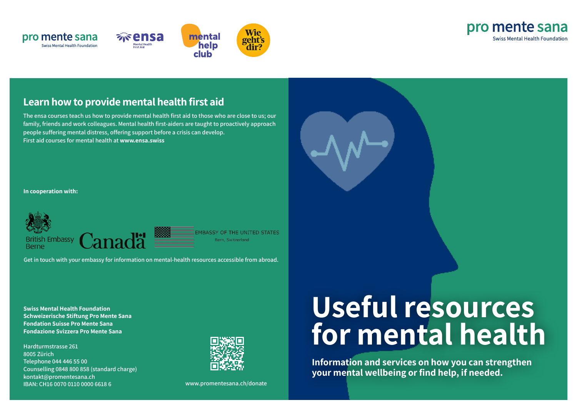



#### **Learn how to provide mental health first aid**

**The ensa courses teach us how to provide mental health first aid to those who are close to us; our family, friends and work colleagues. Mental health first-aiders are taught to proactively approach people suffering mental distress, offering support before a crisis can develop. First aid courses for mental health at www.ensa.swiss**

**In cooperation with:** 



**Get in touch with your embassy for information on mental-health resources accessible from abroad.**

**Swiss Mental Health Foundation Schweizerische Stiftung Pro Mente Sana Fondation Suisse Pro Mente Sana Fondazione Svizzera Pro Mente Sana**

**Hardturmstrasse 261 8005 Zürich Telephone 044 446 55 00 Counselling 0848 800 858 (standard charge) kontakt@promentesana.ch IBAN: CH16 0070 0110 0000 6618 6**



**www.promentesana.ch/donate**

# **Useful resources**  for mental health

**Information and services on how you can strengthen your mental wellbeing or find help, if needed.**